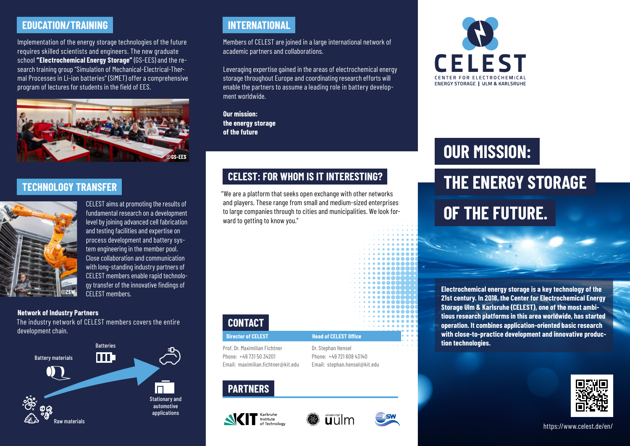# **EDUCATION/TRAINING INTERNATIONAL**

Implementation of the energy storage technologies of the future requires skilled scientists and engineers. The new graduate school **"Electrochemical Energy Storage"** (GS-EES) and the research training group "Simulation of Mechanical-Electrical-Thermal Processes in Li-ion batteries" (SiMET) offer a comprehensive program of lectures for students in the field of EES.



### **TECHNOLOGY TRANSFER**



CELEST aims at promoting the results of fundamental research on a development level by joining advanced cell fabrication and testing facilities and expertise on process development and battery system engineering in the member pool. Close collaboration and communication with long-standing industry partners of CELEST members enable rapid technology transfer of the innovative findings of CELEST members.

#### **Network of Industry Partners**

The industry network of CELEST members covers the entire development chain.



Members of CELEST are joined in a large international network of academic partners and collaborations.

Leveraging expertise gained in the areas of electrochemical energy storage throughout Europe and coordinating research efforts will enable the partners to assume a leading role in battery development worldwide.

**Our mission: the energy storage of the future**

# **CELEST: FOR WHOM IS IT INTERESTING?**

"We are a platform that seeks open exchange with other networks and players. These range from small and medium-sized enterprises to large companies through to cities and municipalities. We look forward to getting to know you."



Dr. Stephan Hensel

Email: maximilian.fichtner@kit.edu Phone: +49 721 608 43140 Email: stephan.hensel@kit.edu

## **PARTNERS**







# **OUR MISSION:**

# **THE ENERGY STORAGE OF THE FUTURE.**

**Electrochemical energy storage is a key technology of the 21st century. In 2018, the Center for Electrochemical Energy Storage Ulm & Karlsruhe (CELEST), one of the most ambitious research platforms in this area worldwide, has started operation. It combines application-oriented basic research with close-to-practice development and innovative production technologies.**



#### https://www.celest.de/en/